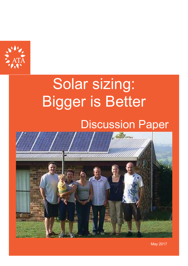

# Solar sizing: Bigger is Better

# Discussion Paper



May 2017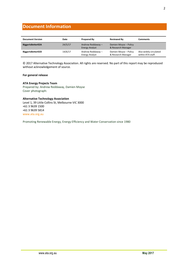#### **Document Information**

| <b>Document Version</b> | Date    | <b>Prepared By</b>                         | <b>Reviewed By</b>                          | Comments                                    |
|-------------------------|---------|--------------------------------------------|---------------------------------------------|---------------------------------------------|
| BiggerIsBetter02A       | 24/5/17 | Andrew Reddaway -<br><b>Energy Analyst</b> | Damien Moyse - Policy<br>& Research Manager |                                             |
| BiggerIsBetter02D       | 14/6/17 | Andrew Reddaway-<br><b>Energy Analyst</b>  | Damien Moyse - Policy<br>& Research Manager | Also widely circulated<br>within ATA staff. |

© 2017 Alternative Technology Association. All rights are reserved. No part of this report may be reproduced without acknowledgement of source.

#### **For general release**

#### **ATA Energy Projects Team**

Prepared by: Andrew Reddaway, Damien Moyse Cover photograph:

### **Alternative Technology Association**

Level 1, 39 Little Collins St, Melbourne VIC 3000 +61 3 9639 1500 +61 3 9639 5814 www.ata.org.au

Promoting Renewable Energy, Energy Efficiency and Water Conservation since 1980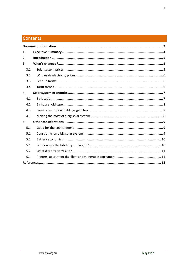## Contents

| 1.  |  |
|-----|--|
| 2.  |  |
| 3.  |  |
| 3.1 |  |
| 3.2 |  |
| 3.3 |  |
| 3.4 |  |
| 4.  |  |
| 4.1 |  |
| 4.2 |  |
| 4.3 |  |
| 4.1 |  |
| 5.  |  |
| 5.1 |  |
| 5.1 |  |
| 5.2 |  |
| 5.1 |  |
| 5.2 |  |
| 5.1 |  |
|     |  |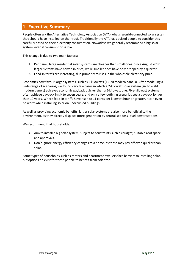#### **1. Executive Summary**

People often ask the Alternative Technology Association (ATA) what size grid-connected solar system they should have installed on their roof. Traditionally the ATA has advised people to consider this carefully based on their electricity consumption. Nowadays we generally recommend a big solar system, even if consumption is low.

This change is due to two main factors:

- 1. Per panel, large residential solar systems are cheaper than small ones. Since August 2012 larger systems have halved in price, while smaller ones have only dropped by a quarter.
- 2. Feed-in tariffs are increasing, due primarily to rises in the wholesale electricity price.

Economics now favour larger systems, such as 5 kilowatts (15-20 modern panels). After modelling a wide range of scenarios, we found very few cases in which a 2-kilowatt solar system (six to eight modern panels) achieves economic payback quicker than a 5-kilowatt one. Five-kilowatt systems often achieve payback in six to seven years, and only a few outlying scenarios see a payback longer than 10 years. Where feed-in tariffs have risen to 11 cents per kilowatt hour or greater, it can even be worthwhile installing solar on unoccupied buildings.

As well as providing economic benefits, larger solar systems are also more beneficial to the environment, as they directly displace more generation by centralised fossil fuel power stations.

We recommend that households:

- Aim to install a big solar system, subject to constraints such as budget, suitable roof space and approvals.
- Don't ignore energy efficiency changes to a home, as these may pay off even quicker than solar.

Some types of households such as renters and apartment dwellers face barriers to installing solar, but options do exist for these people to benefit from solar too.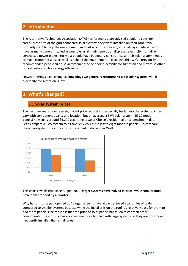#### **2. Introduction**

The Alternative Technology Association (ATA) has for many years advised people to consider carefully the size of the grid-connected solar systems they want installed on their roof. If you primarily want to help the environment and cost is of little concern, it has always made sense to have as many panels installed as possible, as all their generation displaces electricity from dirty, centralised power plants. But most people have budgetary constraints, so their solar system needs to make economic sense as well as helping the environment. To achieve this, we've previously recommended people size a solar system based on their electricity consumption and maximise other opportunities, such as energy efficiency.

However, things have changed. **Nowadays we generally recommend a big solar system** even if electricity consumption is low.

#### **3. What's changed?**

#### **3.1 Solar system prices**

The past five years have seen significant price reductions, especially for larger solar systems. Prices vary with component quality and location, but on average a 5kW solar system (15-20 modern panels) now costs around \$6,200 according to Solar Choice's residential price benchmark data<sup>1</sup>. Let's compare a 5kW system to its smaller 2kW cousin (six to eight modern panels). To compare these two system sizes, the cost is presented in dollars per Watt.



This chart reveals that since August 2012, **larger systems have halved in price, while smaller ones have only dropped by a quarter**.

Why has this price gap opened up? Larger systems have always enjoyed economies of scale compared to smaller systems because while the installer is on the roof it's relatively easy for them to add more panels. One reason is that the price of solar panels has fallen faster than other components. The industry has also become more familiar with large systems, as they are now more frequently installed than small ones.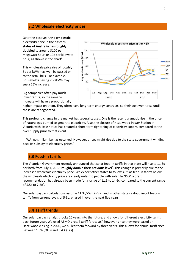#### **3.2 Wholesale electricity prices**

Over the past year**, the wholesale electricity price in the eastern states of Australia has roughly doubled** to around \$100 per megawatt hour, or 10c per kilowatt hour, as shown in the chart<sup>2</sup>.

This wholesale price rise of roughly 5c per kWh may well be passed on to the retail bills. For example, households paying 25c/kWh may see a 25% increase.

Big companies often pay much lower tariffs, so the same 5c increase will have a proportionally



higher impact on them. They often have long-term energy contracts, so their cost won't rise until these are renegotiated.

This profound change in the market has several causes. One is the recent dramatic rise in the price of natural gas burned to generate electricity. Also, the closure of Hazelwood Power Station in Victoria with little notice has created a short-term tightening of electricity supply, compared to the over-supply prior to that event.

In WA, no similar rise has occurred. However, prices might rise due to the state government winding back its subsidy to electricity prices.<sup>3</sup>

#### **3.3 Feed-in tariffs**

The Victorian Government recently announced that solar feed-in tariffs in that state will rise to 11.3c per kWh from July 1, 2017, **roughly double their previous level**<sup>4</sup>. This change is primarily due to the increased wholesale electricity price. We expect other states to follow suit, as feed-in tariffs below the wholesale electricity price are clearly unfair to people with solar. In NSW, a draft recommendation has already been made for a range of 11.6 to 14.6c, compared to the current range of 5.5c to 7.2 $c^5$ .

Our solar payback calculations assume 11.3c/kWh in Vic, and in other states a doubling of feed-in tariffs from current levels of 5-8c, phased in over the next five years.

#### **3.4 Tariff trends**

Our solar payback analysis looks 20 years into the future, and allows for different electricity tariffs in each future year. We used AEMO's retail tariff forecasts<sup>6</sup>, however since they were based on Hazelwood closing in 2020, we pulled them forward by three years. This allows for annual tariff rises between 1.5% (QLD) and 3.4% (Tas).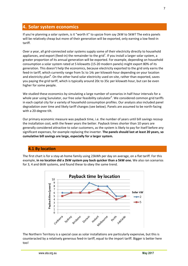#### **4. Solar system economics**

If you're planning a solar system, is it "worth it" to upsize from say 2kW to 5kW? The extra panels will be relatively cheap but more of their generation will be exported, only earning a low feed-in tariff.

Over a year, all grid-connected solar systems supply some of their electricity directly to household appliances, and export (feed-in) the remainder to the grid<sup>7</sup>. If you install a larger solar system, a greater proportion of its annual generation will be exported. For example, depending on household consumption a solar system rated at 5 kilowatts (15-20 modern panels) might export 80% of its generation. This doesn't help the economics, because electricity exported to the grid only earns the feed-in tariff, which currently range from 5c to 14c per kilowatt-hour depending on your location and electricity plan<sup>8</sup>. On the other hand solar electricity used on-site, rather than exported, saves you paying the grid tariff, which is typically around 20c to 35c per kilowatt-hour, but can be even higher for some people.

We studied these economics by simulating a large number of scenarios in half-hour intervals for a whole year using Sunulator, our free solar feasibility calculator<sup>9</sup>. We considered common grid tariffs in each capital city for a variety of household consumption profiles. Our analysis also included panel degradation over time and likely tariff changes (see below). Panels are assumed to be north-facing with a 20-degree tilt.

Our primary economic measure was payback time, i.e. the number of years until bill savings recoup the installation cost, with the fewer years the better. Payback times shorter than 10 years are generally considered attractive to solar customers, as the system is likely to pay for itself before any significant expenses, for example replacing the inverter. **The panels should last at least 20 years, so cumulative bill savings are large, especially for a larger system.**

#### **4.1 By location**

The first chart is for a stay-at-home family using 23kWh per day on average, on a flat tariff. For this example, **in no location did a 2kW system pay back quicker than a 5kW one.** We also ran scenarios for 3, 4 and 6kW systems, and found these to obey the same trend.



The Northern Territory is a special case as solar installations are particularly expensive, but this is counteracted by a relatively generous feed-in tariff, equal to the import tariff. Bigger is better here too!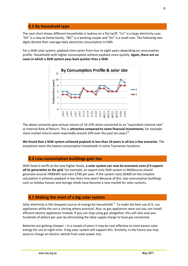#### **4.2 By household type**

The next chart shows different households in Sydney on a flat tariff. "LU" is a large electricity user, "SH" is a stay-at-home family, "WC" is a working couple and "SU" is a small user. The following two digits denote their average daily electricity consumption in kWh.

For a 5kW solar system, payback time varies from four to eight years depending on consumption profile. Households with higher consumption achieve payback more quickly. **Again, there are no cases in which a 2kW system pays back quicker than a 5kW.** 



The above scenarios give annual returns of 10-25% when converted to an "equivalent interest rate" or Internal Rate of Return. This is **attractive compared to some financial investments**, for example stock market returns were reportedly around 10% over the past ten years<sup>10</sup>.

**We found that a 5kW system achieved payback in less than 10 years in all but a few scenarios.** The exceptions were the lowest-consumption households in some Tasmanian locations.

#### **4.3 Low-consumption buildings gain too**

With feed-in tariffs at the new higher levels, **a solar system can now be economic** *even if it exports all its generation to the grid*. For example, an export-only 5kW system in Melbourne should generate around 7000kWh and earn \$790 per year. If the system costs \$6400 on the simplest calculation it achieves payback in less than nine years! Because of this, low-consumption buildings such as holiday houses and storage sheds have become a new market for solar systems.

#### **4.1 Making the most of a big solar system**

Solar electricity is the cheapest source of energy for households<sup>11</sup>. To make the best use of it, run appliances while the sun is shining where practical. Also, as gas appliances wear out you can install efficient electric appliances instead. If you can stop using gas altogether, this will also save you hundreds of dollars per year by eliminating the daily supply charge to have gas connected.

Batteries are getting cheaper – in a couple of years it may be cost-effective to store excess solar energy for use at night-time. A big solar system will support this. Similarly, in the future you may want to charge an electric vehicle from solar power too.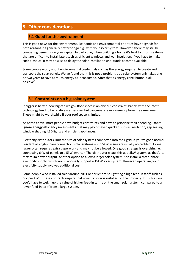#### **5. Other considerations**

#### **5.1 Good for the environment**

This is good news for the environment. Economic and environmental priorities have aligned; for both reasons it's generally better to "go big" with your solar system. However, there may still be competing demands on your capital. In particular, when building a home it's best to prioritise items that are difficult to install later, such as efficient windows and wall insulation. If you have to make such a choice, it may be wise to delay the solar installation until funds become available.

Some people worry about environmental credentials such as the energy required to create and transport the solar panels. We've found that this is not a problem, as a solar system only takes one or two years to save as much energy as it consumed. After that its energy contribution is all positive<sup>12</sup>.

#### **5.1 Constraints on a big solar system**

If bigger is better, how big can we go? Roof space is an obvious constraint. Panels with the latest technology tend to be relatively expensive, but can generate more energy from the same area. These might be worthwhile if your roof space is limited.

As noted above, most people have budget constraints and have to prioritise their spending. **Don't ignore energy efficiency investments** that may pay off even quicker, such as insulation, gap sealing, window shading, LED lights and efficient appliances.

Electricity distributors limit the size of solar systems connected into their grid. If you've got a normal residential single-phase connection, solar systems up to 5kW in size are usually no problem. Going larger often requires extra paperwork and may not be allowed. One good strategy is oversizing, eg connecting 6kW of panels to a 5kW inverter. The distributor treats this as a 5kW system, as that's its maximum power output. Another option to allow a larger solar system is to install a three-phase electricity supply, which would normally support a 15kW solar system. However, upgrading your electricity supply involves additional cost.

Some people who installed solar around 2011 or earlier are still getting a high feed-in tariff such as 60c per kWh. These contracts require that no extra solar is installed on the property. In such a case you'd have to weigh up the value of higher feed-in tariffs on the small solar system, compared to a lower feed-in tariff from a large system.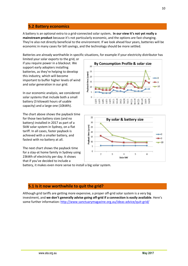#### **5.2 Battery economics**

A battery is an optional extra to a grid-connected solar system**. In our view it's not yet really a mainstream product** because it's not particularly economic, and the options are fast-changing. They're also not directly beneficial to the environment. If we look ahead four years, batteries will be economic in many cases for bill savings, and the technology should be more settled.

Batteries are already worthwhile in specific situations, for example if your electricity distributor has

limited your solar exports to the grid, or if you require power in a blackout. We support early adopters installing batteries, as they're helping to develop this industry, which will become important to buffer higher levels of wind and solar generation in our grid.

In our economic analysis, we considered solar systems that include both a small battery (3 kilowatt hours of usable capacity) and a large one (10kWh).

The chart above shows the payback time for those two battery sizes (and no battery) installed in 2017 as part of a 5kW solar system in Sydney, on a flat tariff. In all cases, faster payback is achieved with a smaller battery, and fastest with no battery at all.

The next chart shows the payback time for a stay-at home family in Sydney using 23kWh of electricity per day. It shows that if you've decided to include a

battery, it makes even more sense to install a big solar system.

#### **5.1 Is it now worthwhile to quit the grid?**

Although grid tariffs are getting more expensive, a proper off-grid solar system is a very big investment, and **we don't generally advise going off-grid if a connection is easily available**. Here's some further information: http://www.sanctuarymagazine.org.au/ideas-advice/quit-grid/



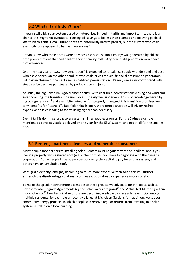#### **5.2 What if tariffs don't rise?**

If you install a big solar system based on future rises in feed-in tariffs and import tariffs, there is a chance this might not eventuate, causing bill savings to be less than planned and delaying payback. **We think this risk is low**. Future prices are notoriously hard to predict, but the current wholesale electricity price appears to be the "new normal".

Previous low wholesale prices were only possible because most energy was generated by old coalfired power stations that had paid off their financing costs. Any new-build generation won't have that advantage.

Over the next year or two, new generation<sup>13</sup> is expected to re-balance supply with demand and ease wholesale prices. On the other hand, as wholesale prices reduce, financial pressure on generators will hasten closure of the next ageing coal-fired power station. We may see a saw-tooth trend with steady price declines punctuated by periodic upward jumps.

As usual, the big unknown is government policy. With coal-fired power stations closing and wind and solar booming, the transition to renewables is clearly well underway. This is acknowledged even by big coal generators<sup>14</sup> and electricity networks<sup>15</sup>. If properly-managed, this transition promises longterm benefits for Australia<sup>16</sup>. But if planning is poor, short-term disruption will trigger rushed, expensive policies leading to tariffs rising higher than necessary.

Even if tariffs don't rise, a big solar system still has good economics. For the Sydney example mentioned above, payback is delayed by one year for the 5kW system, and not at all for the smaller one.

#### **5.1 Renters, apartment-dwellers and vulnerable consumers**

Many people face barriers to installing solar. Renters must negotiate with the landlord, and if you live in a property with a shared roof (e.g. a block of flats) you have to negotiate with the owner's corporation. Some people have no prospect of saving the capital to pay for a solar system, and others have an unsuitable roof.

With grid electricity (and gas) becoming so much more expensive than solar, this will **further entrench the disadvantages** that many of these groups already experience in our society.

To make cheap solar power more accessible to these groups, we advocate for initiatives such as Environmental Upgrade Agreements (eg the Solar Savers program) $^{17}$  and Virtual Net Metering within blocks of units.<sup>18</sup> New technical solutions are becoming available to share solar electricity among multiple residents, for example as recently trialled at Nicholson Gardens<sup>19</sup>. In addition, we support community energy projects, in which people can receive regular returns from investing in a solar system installed on a local building.